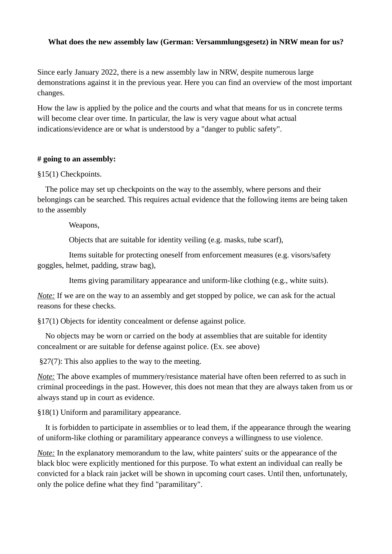# **What does the new assembly law (German: Versammlungsgesetz) in NRW mean for us?**

Since early January 2022, there is a new assembly law in NRW, despite numerous large demonstrations against it in the previous year. Here you can find an overview of the most important changes.

How the law is applied by the police and the courts and what that means for us in concrete terms will become clear over time. In particular, the law is very vague about what actual indications/evidence are or what is understood by a "danger to public safety".

### **# going to an assembly:**

# §15(1) Checkpoints.

The police may set up checkpoints on the way to the assembly, where persons and their belongings can be searched. This requires actual evidence that the following items are being taken to the assembly

Weapons,

Objects that are suitable for identity veiling (e.g. masks, tube scarf),

 Items suitable for protecting oneself from enforcement measures (e.g. visors/safety goggles, helmet, padding, straw bag),

Items giving paramilitary appearance and uniform-like clothing (e.g., white suits).

*Note*: If we are on the way to an assembly and get stopped by police, we can ask for the actual reasons for these checks.

§17(1) Objects for identity concealment or defense against police.

No objects may be worn or carried on the body at assemblies that are suitable for identity concealment or are suitable for defense against police. (Ex. see above)

§27(7): This also applies to the way to the meeting.

*Note:* The above examples of mummery/resistance material have often been referred to as such in criminal proceedings in the past. However, this does not mean that they are always taken from us or always stand up in court as evidence.

§18(1) Uniform and paramilitary appearance.

It is forbidden to participate in assemblies or to lead them, if the appearance through the wearing of uniform-like clothing or paramilitary appearance conveys a willingness to use violence.

*Note:* In the explanatory memorandum to the law, white painters' suits or the appearance of the black bloc were explicitly mentioned for this purpose. To what extent an individual can really be convicted for a black rain jacket will be shown in upcoming court cases. Until then, unfortunately, only the police define what they find "paramilitary".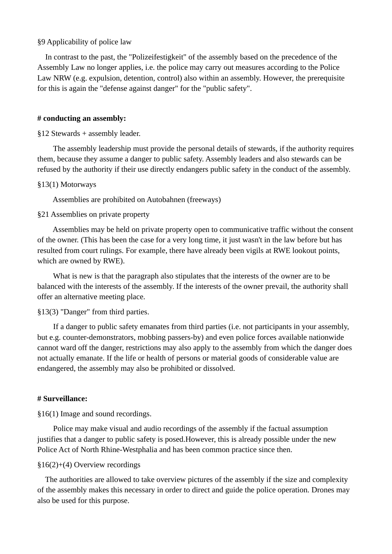#### §9 Applicability of police law

In contrast to the past, the "Polizeifestigkeit" of the assembly based on the precedence of the Assembly Law no longer applies, i.e. the police may carry out measures according to the Police Law NRW (e.g. expulsion, detention, control) also within an assembly. However, the prerequisite for this is again the "defense against danger" for the "public safety".

#### **# conducting an assembly:**

## §12 Stewards + assembly leader.

 The assembly leadership must provide the personal details of stewards, if the authority requires them, because they assume a danger to public safety. Assembly leaders and also stewards can be refused by the authority if their use directly endangers public safety in the conduct of the assembly.

### §13(1) Motorways

Assemblies are prohibited on Autobahnen (freeways)

### §21 Assemblies on private property

 Assemblies may be held on private property open to communicative traffic without the consent of the owner. (This has been the case for a very long time, it just wasn't in the law before but has resulted from court rulings. For example, there have already been vigils at RWE lookout points, which are owned by RWE).

 What is new is that the paragraph also stipulates that the interests of the owner are to be balanced with the interests of the assembly. If the interests of the owner prevail, the authority shall offer an alternative meeting place.

### §13(3) "Danger" from third parties.

 If a danger to public safety emanates from third parties (i.e. not participants in your assembly, but e.g. counter-demonstrators, mobbing passers-by) and even police forces available nationwide cannot ward off the danger, restrictions may also apply to the assembly from which the danger does not actually emanate. If the life or health of persons or material goods of considerable value are endangered, the assembly may also be prohibited or dissolved.

#### **# Surveillance:**

§16(1) Image and sound recordings.

 Police may make visual and audio recordings of the assembly if the factual assumption justifies that a danger to public safety is posed.However, this is already possible under the new Police Act of North Rhine-Westphalia and has been common practice since then.

## §16(2)+(4) Overview recordings

 The authorities are allowed to take overview pictures of the assembly if the size and complexity of the assembly makes this necessary in order to direct and guide the police operation. Drones may also be used for this purpose.